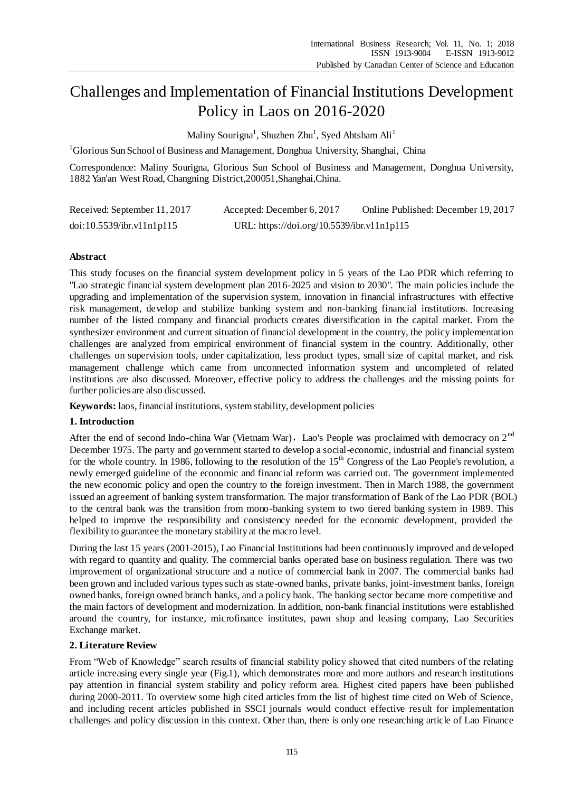# Challenges and Implementation of Financial Institutions Development Policy in Laos on 2016-2020

Maliny Sourigna<sup>1</sup>, Shuzhen Zhu<sup>1</sup>, Syed Ahtsham Ali<sup>1</sup>

<sup>1</sup>Glorious Sun School of Business and Management, Donghua University, Shanghai, China

Correspondence: Maliny Sourigna, Glorious Sun School of Business and Management, Donghua University, 1882 Yan'an West Road, Changning District,200051,Shanghai,China.

| Received: September 11, 2017 | Accepted: December 6, 2017                 | Online Published: December 19, 2017 |
|------------------------------|--------------------------------------------|-------------------------------------|
| doi:10.5539/ibr.v11nlp115    | URL: https://doi.org/10.5539/ibr.v11n1p115 |                                     |

# **Abstract**

This study focuses on the financial system development policy in 5 years of the Lao PDR which referring to "Lao strategic financial system development plan 2016-2025 and vision to 2030". The main policies include the upgrading and implementation of the supervision system, innovation in financial infrastructures with effective risk management, develop and stabilize banking system and non-banking financial institutions. Increasing number of the listed company and financial products creates diversification in the capital market. From the synthesizer environment and current situation of financial development in the country, the policy implementation challenges are analyzed from empirical environment of financial system in the country. Additionally, other challenges on supervision tools, under capitalization, less product types, small size of capital market, and risk management challenge which came from unconnected information system and uncompleted of related institutions are also discussed. Moreover, effective policy to address the challenges and the missing points for further policies are also discussed.

**Keywords:** laos, financial institutions, system stability, development policies

## **1. Introduction**

After the end of second Indo-china War (Vietnam War), Lao's People was proclaimed with democracy on 2<sup>nd</sup> December 1975. The party and government started to develop a social-economic, industrial and financial system for the whole country. In 1986, following to the resolution of the  $15<sup>th</sup>$  Congress of the Lao People's revolution, a newly emerged guideline of the economic and financial reform was carried out. The government implemented the new economic policy and open the country to the foreign investment. Then in March 1988, the government issued an agreement of banking system transformation. The major transformation of Bank of the Lao PDR (BOL) to the central bank was the transition from mono-banking system to two tiered banking system in 1989. This helped to improve the responsibility and consistency needed for the economic development, provided the flexibility to guarantee the monetary stability at the macro level.

During the last 15 years (2001-2015), Lao Financial Institutions had been continuously improved and developed with regard to quantity and quality. The commercial banks operated base on business regulation. There was two improvement of organizational structure and a notice of commercial bank in 2007. The commercial banks had been grown and included various types such as state-owned banks, private banks, joint-investment banks, foreign owned banks, foreign owned branch banks, and a policy bank. The banking sector became more competitive and the main factors of development and modernization. In addition, non-bank financial institutions were established around the country, for instance, microfinance institutes, pawn shop and leasing company, Lao Securities Exchange market.

## **2. Literature Review**

From "Web of Knowledge" search results of financial stability policy showed that cited numbers of the relating article increasing every single year (Fig.1), which demonstrates more and more authors and research institutions pay attention in financial system stability and policy reform area. Highest cited papers have been published during 2000-2011. To overview some high cited articles from the list of highest time cited on Web of Science, and including recent articles published in SSCI journals would conduct effective result for implementation challenges and policy discussion in this context. Other than, there is only one researching article of Lao Finance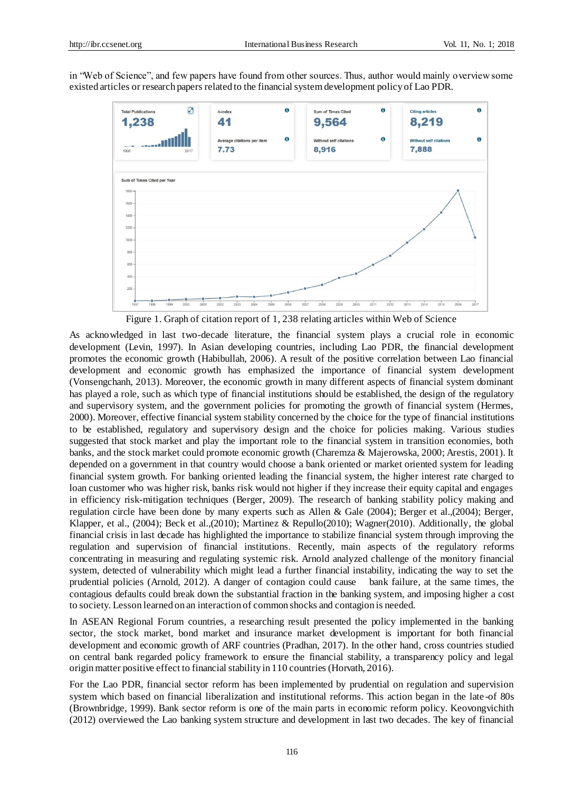in "Web of Science", and few papers have found from other sources. Thus, author would mainly overview some existed articles or research papers related to the financial system development policy of Lao PDR.



Figure 1. Graph of citation report of 1, 238 relating articles within Web of Science

As acknowledged in last two-decade literature, the financial system plays a crucial role in economic development (Levin, 1997). In Asian developing countries, including Lao PDR, the financial development promotes the economic growth (Habibullah, 2006). A result of the positive correlation between Lao financial development and economic growth has emphasized the importance of financial system development (Vonsengchanh, 2013). Moreover, the economic growth in many different aspects of financial system dominant has played a role, such as which type of financial institutions should be established, the design of the regulatory and supervisory system, and the government policies for promoting the growth of financial system (Hermes, 2000). Moreover, effective financial system stability concerned by the choice for the type of financial institutions to be established, regulatory and supervisory design and the choice for policies making. Various studies suggested that stock market and play the important role to the financial system in transition economies, both banks, and the stock market could promote economic growth (Charemza & Majerowska, 2000; Arestis, 2001). It depended on a government in that country would choose a bank oriented or market oriented system for leading financial system growth. For banking oriented leading the financial system, the higher interest rate charged to loan customer who was higher risk, banks risk would not higher if they increase their equity capital and engages in efficiency risk-mitigation techniques (Berger, 2009). The research of banking stability policy making and regulation circle have been done by many experts such as Allen & Gale (2004); Berger et al.,(2004); Berger, Klapper, et al., (2004); Beck et al.,(2010); Martinez & Repullo(2010); Wagner(2010). Additionally, the global financial crisis in last decade has highlighted the importance to stabilize financial system through improving the regulation and supervision of financial institutions. Recently, main aspects of the regulatory reforms concentrating in measuring and regulating systemic risk. Arnold analyzed challenge of the monitory financial system, detected of vulnerability which might lead a further financial instability, indicating the way to set the prudential policies (Arnold, 2012). A danger of contagion could cause bank failure, at the same times, the contagious defaults could break down the substantial fraction in the banking system, and imposing higher a cost to society. Lesson learned on an interaction of common shocks and contagion is needed.

In ASEAN Regional Forum countries, a researching result presented the policy implemented in the banking sector, the stock market, bond market and insurance market development is important for both financial development and economic growth of ARF countries (Pradhan, 2017). In the other hand, cross countries studied on central bank regarded policy framework to ensure the financial stability, a transparency policy and legal origin matter positive effect to financial stability in 110 countries (Horvath, 2016).

For the Lao PDR, financial sector reform has been implemented by prudential on regulation and supervision system which based on financial liberalization and institutional reforms. This action began in the late -of 80s (Brownbridge, 1999). Bank sector reform is one of the main parts in economic reform policy. Keovongvichith (2012) overviewed the Lao banking system structure and development in last two decades. The key of financial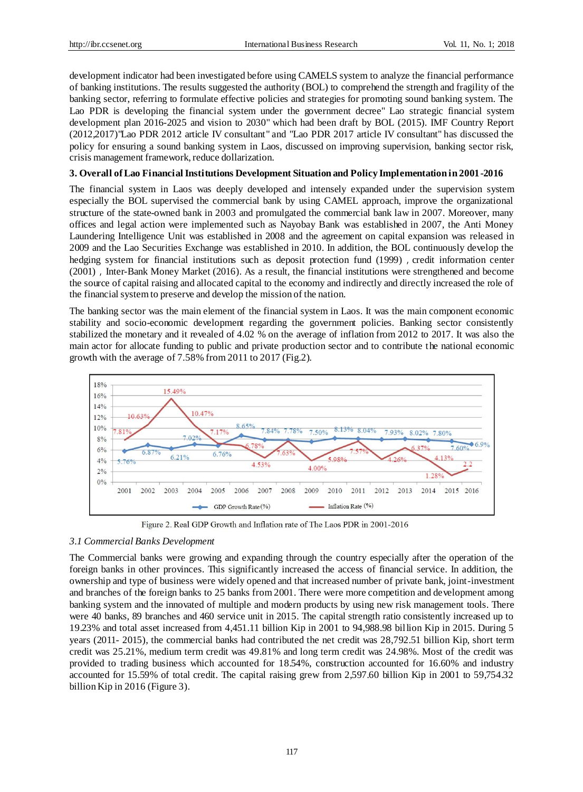development indicator had been investigated before using CAMELS system to analyze the financial performance of banking institutions. The results suggested the authority (BOL) to comprehend the strength and fragility of the banking sector, referring to formulate effective policies and strategies for promoting sound banking system. The Lao PDR is developing the financial system under the government decree" Lao strategic financial system development plan 2016-2025 and vision to 2030" which had been draft by BOL (2015). IMF Country Report (2012,2017)"Lao PDR 2012 article IV consultant" and "Lao PDR 2017 article IV consultant" has discussed the policy for ensuring a sound banking system in Laos, discussed on improving supervision, banking sector risk, crisis management framework, reduce dollarization.

#### **3. Overall of Lao Financial Institutions Development Situation and Policy Implementation in 2001-2016**

The financial system in Laos was deeply developed and intensely expanded under the supervision system especially the BOL supervised the commercial bank by using CAMEL approach, improve the organizational structure of the state-owned bank in 2003 and promulgated the commercial bank law in 2007. Moreover, many offices and legal action were implemented such as Nayobay Bank was established in 2007, the Anti Money Laundering Intelligence Unit was established in 2008 and the agreement on capital expansion was released in 2009 and the Lao Securities Exchange was established in 2010. In addition, the BOL continuously develop the hedging system for financial institutions such as deposit protection fund (1999), credit information center (2001), Inter-Bank Money Market (2016). As a result, the financial institutions were strengthened and become the source of capital raising and allocated capital to the economy and indirectly and directly increased the role of the financial system to preserve and develop the mission of the nation.

The banking sector was the main element of the financial system in Laos. It was the main component economic stability and socio-economic development regarding the government policies. Banking sector consistently stabilized the monetary and it revealed of 4.02 % on the average of inflation from 2012 to 2017. It was also the main actor for allocate funding to public and private production sector and to contribute the national economic growth with the average of 7.58% from 2011 to 2017 (Fig.2).



Figure 2. Real GDP Growth and Inflation rate of The Laos PDR in 2001-2016

## *3.1 Commercial Banks Development*

The Commercial banks were growing and expanding through the country especially after the operation of the foreign banks in other provinces. This significantly increased the access of financial service. In addition, the ownership and type of business were widely opened and that increased number of private bank, joint-investment and branches of the foreign banks to 25 banks from 2001. There were more competition and development among banking system and the innovated of multiple and modern products by using new risk management tools. There were 40 banks, 89 branches and 460 service unit in 2015. The capital strength ratio consistently increased up to 19.23% and total asset increased from 4,451.11 billion Kip in 2001 to 94,988.98 billion Kip in 2015. During 5 years (2011- 2015), the commercial banks had contributed the net credit was 28,792.51 billion Kip, short term credit was 25.21%, medium term credit was 49.81% and long term credit was 24.98%. Most of the credit was provided to trading business which accounted for 18.54%, construction accounted for 16.60% and industry accounted for 15.59% of total credit. The capital raising grew from 2,597.60 billion Kip in 2001 to 59,754.32 billion Kip in 2016 (Figure 3).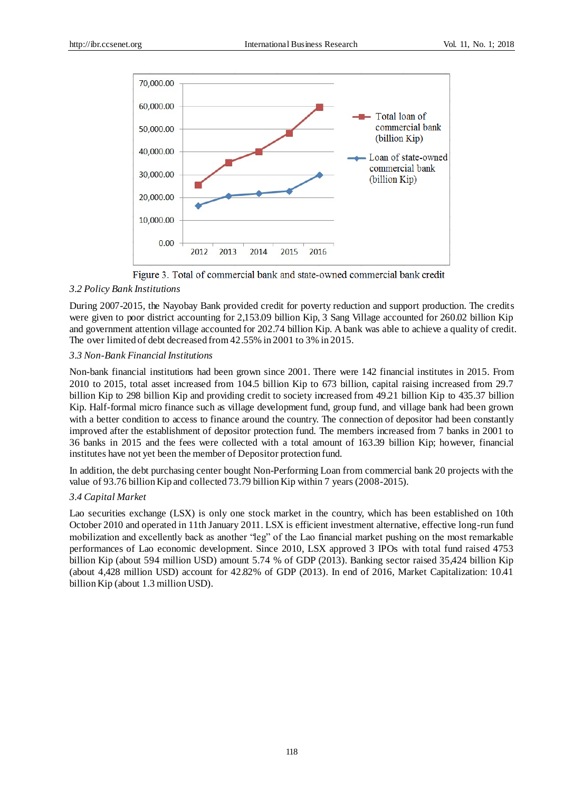

Figure 3. Total of commercial bank and state-owned commercial bank credit

# *3.2 Policy Bank Institutions*

During 2007-2015, the Nayobay Bank provided credit for poverty reduction and support production. The credits were given to poor district accounting for 2,153.09 billion Kip, 3 Sang Village accounted for 260.02 billion Kip and government attention village accounted for 202.74 billion Kip. A bank was able to achieve a quality of credit. The over limited of debt decreased from 42.55% in 2001 to 3% in 2015.

# *3.3 Non-Bank Financial Institutions*

Non-bank financial institutions had been grown since 2001. There were 142 financial institutes in 2015. From 2010 to 2015, total asset increased from 104.5 billion Kip to 673 billion, capital raising increased from 29.7 billion Kip to 298 billion Kip and providing credit to society increased from 49.21 billion Kip to 435.37 billion Kip. Half-formal micro finance such as village development fund, group fund, and village bank had been grown with a better condition to access to finance around the country. The connection of depositor had been constantly improved after the establishment of depositor protection fund. The members increased from 7 banks in 2001 to 36 banks in 2015 and the fees were collected with a total amount of 163.39 billion Kip; however, financial institutes have not yet been the member of Depositor protection fund.

In addition, the debt purchasing center bought Non-Performing Loan from commercial bank 20 projects with the value of 93.76 billion Kip and collected 73.79 billion Kip within 7 years (2008-2015).

## *3.4 Capital Market*

Lao securities exchange (LSX) is only one stock market in the country, which has been established on 10th October 2010 and operated in 11th January 2011. LSX is efficient investment alternative, effective long-run fund mobilization and excellently back as another "leg" of the Lao financial market pushing on the most remarkable performances of Lao economic development. Since 2010, LSX approved 3 IPOs with total fund raised 4753 billion Kip (about 594 million USD) amount 5.74 % of GDP (2013). Banking sector raised 35,424 billion Kip (about 4,428 million USD) account for 42.82% of GDP (2013). In end of 2016, Market Capitalization: 10.41 billion Kip (about 1.3 million USD).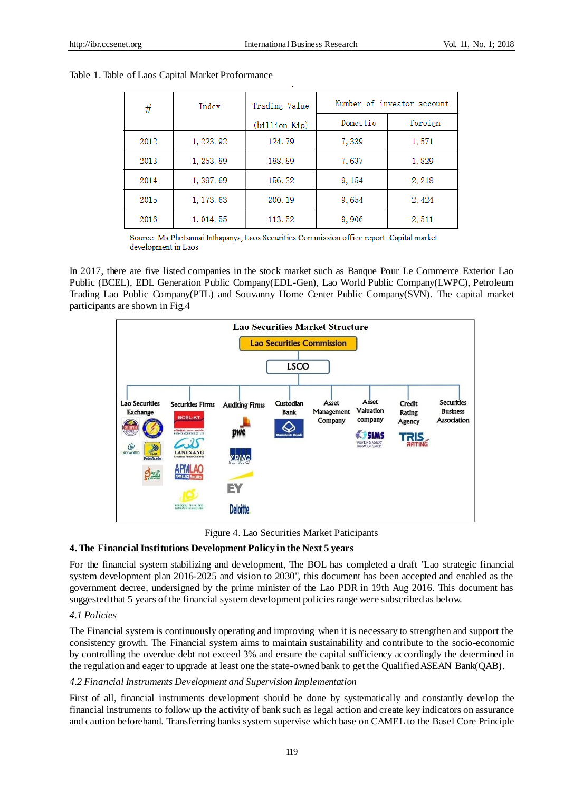| #    | Index      | Trading Value     | Number of investor account |         |
|------|------------|-------------------|----------------------------|---------|
|      |            | $(bi11ion$ $Kip)$ | Domestic                   | foreign |
| 2012 | 1, 223, 92 | 124.79            | 7,339                      | 1,571   |
| 2013 | 1, 253.89  | 188.89            | 7,637                      | 1,829   |
| 2014 | 1, 397.69  | 156.32            | 9, 154                     | 2, 218  |
| 2015 | 1, 173, 63 | 200.19            | 9,654                      | 2, 424  |
| 2016 | 1.014.55   | 113.52            | 9,906                      | 2,511   |

#### Table 1. Table of Laos Capital Market Proformance

Source: Ms Phetsamai Inthapanya, Laos Securities Commission office report: Capital market development in Laos

In 2017, there are five listed companies in the stock market such as Banque Pour Le Commerce Exterior Lao Public (BCEL), EDL Generation Public Company(EDL-Gen), Lao World Public Company(LWPC), Petroleum Trading Lao Public Company(PTL) and Souvanny Home Center Public Company(SVN). The capital market participants are shown in Fig.4



Figure 4. Lao Securities Market Paticipants

# **4. The Financial Institutions Development Policy in the Next 5 years**

For the financial system stabilizing and development, The BOL has completed a draft "Lao strategic financial system development plan 2016-2025 and vision to 2030", this document has been accepted and enabled as the government decree, undersigned by the prime minister of the Lao PDR in 19th Aug 2016. This document has suggested that 5 years of the financial system development policies range were subscribed as below.

## *4.1 Policies*

The Financial system is continuously operating and improving when it is necessary to strengthen and support the consistency growth. The Financial system aims to maintain sustainability and contribute to the socio-economic by controlling the overdue debt not exceed 3% and ensure the capital sufficiency accordingly the determined in the regulation and eager to upgrade at least one the state-owned bank to get the Qualified ASEAN Bank(QAB).

## *4.2 Financial Instruments Development and Supervision Implementation*

First of all, financial instruments development should be done by systematically and constantly develop the financial instruments to follow up the activity of bank such as legal action and create key indicators on assurance and caution beforehand. Transferring banks system supervise which base on CAMEL to the Basel Core Principle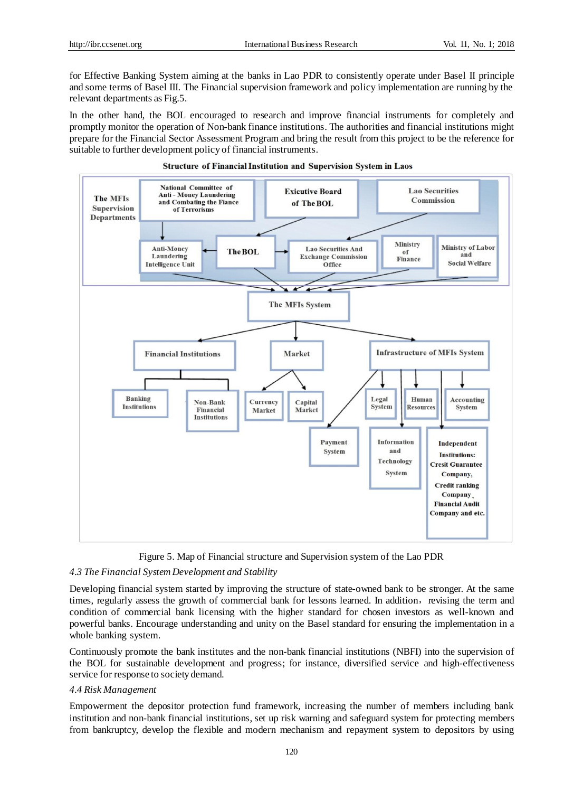for Effective Banking System aiming at the banks in Lao PDR to consistently operate under Basel II principle and some terms of Basel III. The Financial supervision framework and policy implementation are running by the relevant departments as Fig.5.

In the other hand, the BOL encouraged to research and improve financial instruments for completely and promptly monitor the operation of Non-bank finance institutions. The authorities and financial institutions might prepare for the Financial Sector Assessment Program and bring the result from this project to be the reference for suitable to further development policy of financial instruments.





Figure 5. Map of Financial structure and Supervision system of the Lao PDR

## *4.3 The Financial System Development and Stability*

Developing financial system started by improving the structure of state-owned bank to be stronger. At the same times, regularly assess the growth of commercial bank for lessons learned. In addition, revising the term and condition of commercial bank licensing with the higher standard for chosen investors as well-known and powerful banks. Encourage understanding and unity on the Basel standard for ensuring the implementation in a whole banking system.

Continuously promote the bank institutes and the non-bank financial institutions (NBFI) into the supervision of the BOL for sustainable development and progress; for instance, diversified service and high-effectiveness service for response to society demand.

#### *4.4 Risk Management*

Empowerment the depositor protection fund framework, increasing the number of members including bank institution and non-bank financial institutions, set up risk warning and safeguard system for protecting members from bankruptcy, develop the flexible and modern mechanism and repayment system to depositors by using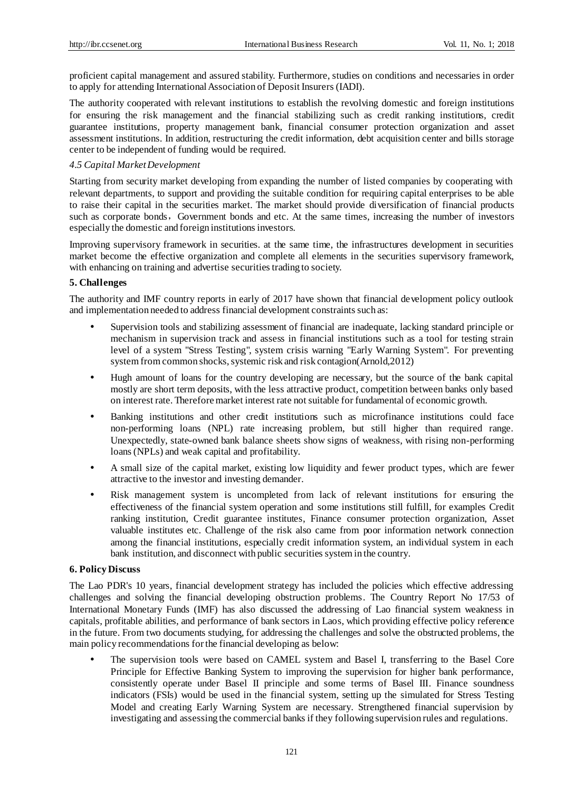proficient capital management and assured stability. Furthermore, studies on conditions and necessaries in order to apply for attending International Association of Deposit Insurers (IADI).

The authority cooperated with relevant institutions to establish the revolving domestic and foreign institutions for ensuring the risk management and the financial stabilizing such as credit ranking institutions, credit guarantee institutions, property management bank, financial consumer protection organization and asset assessment institutions. In addition, restructuring the credit information, debt acquisition center and bills storage center to be independent of funding would be required.

#### *4.5 Capital Market Development*

Starting from security market developing from expanding the number of listed companies by cooperating with relevant departments, to support and providing the suitable condition for requiring capital enterprises to be able to raise their capital in the securities market. The market should provide diversification of financial products such as corporate bonds, Government bonds and etc. At the same times, increasing the number of investors especially the domestic and foreign institutions investors.

Improving supervisory framework in securities. at the same time, the infrastructures development in securities market become the effective organization and complete all elements in the securities supervisory framework, with enhancing on training and advertise securities trading to society.

#### **5. Challenges**

The authority and IMF country reports in early of 2017 have shown that financial development policy outlook and implementation needed to address financial development constraints such as:

- Supervision tools and stabilizing assessment of financial are inadequate, lacking standard principle or mechanism in supervision track and assess in financial institutions such as a tool for testing strain level of a system "Stress Testing", system crisis warning "Early Warning System". For preventing system from common shocks, systemic risk and risk contagion(Arnold,2012)
- Hugh amount of loans for the country developing are necessary, but the source of the bank capital mostly are short term deposits, with the less attractive product, competition between banks only based on interest rate. Therefore market interest rate not suitable for fundamental of economic growth.
- Banking institutions and other credit institutions such as microfinance institutions could face non-performing loans (NPL) rate increasing problem, but still higher than required range. Unexpectedly, state-owned bank balance sheets show signs of weakness, with rising non-performing loans (NPLs) and weak capital and profitability.
- A small size of the capital market, existing low liquidity and fewer product types, which are fewer attractive to the investor and investing demander.
- Risk management system is uncompleted from lack of relevant institutions for ensuring the effectiveness of the financial system operation and some institutions still fulfill, for examples Credit ranking institution, Credit guarantee institutes, Finance consumer protection organization, Asset valuable institutes etc. Challenge of the risk also came from poor information network connection among the financial institutions, especially credit information system, an individual system in each bank institution, and disconnect with public securities system in the country.

# **6. Policy Discuss**

The Lao PDR's 10 years, financial development strategy has included the policies which effective addressing challenges and solving the financial developing obstruction problems. The Country Report No 17/53 of International Monetary Funds (IMF) has also discussed the addressing of Lao financial system weakness in capitals, profitable abilities, and performance of bank sectors in Laos, which providing effective policy reference in the future. From two documents studying, for addressing the challenges and solve the obstructed problems, the main policy recommendations for the financial developing as below:

 The supervision tools were based on CAMEL system and Basel I, transferring to the Basel Core Principle for Effective Banking System to improving the supervision for higher bank performance, consistently operate under Basel II principle and some terms of Basel III. Finance soundness indicators (FSIs) would be used in the financial system, setting up the simulated for Stress Testing Model and creating Early Warning System are necessary. Strengthened financial supervision by investigating and assessing the commercial banks if they following supervision rules and regulations.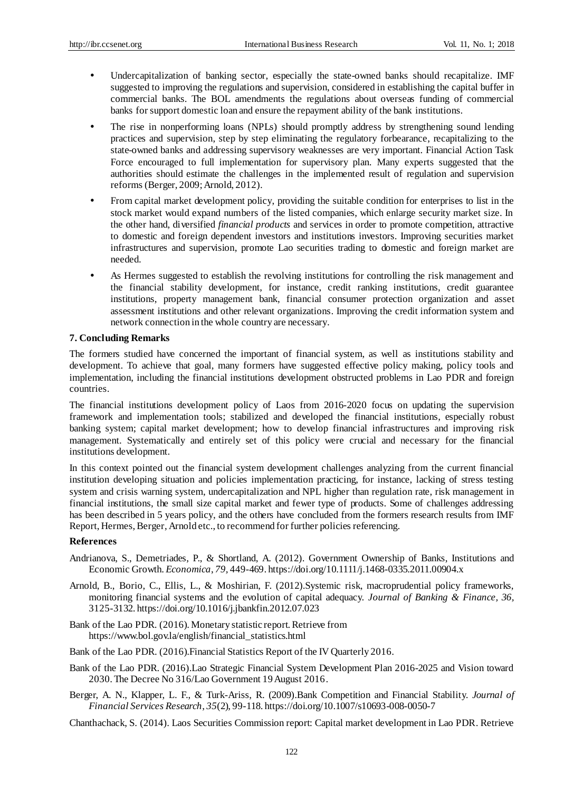- Undercapitalization of banking sector, especially the state-owned banks should recapitalize. IMF suggested to improving the regulations and supervision, considered in establishing the capital buffer in commercial banks. The BOL amendments the regulations about overseas funding of commercial banks for support domestic loan and ensure the repayment ability of the bank institutions.
- The rise in nonperforming loans (NPLs) should promptly address by strengthening sound lending practices and supervision, step by step eliminating the regulatory forbearance, recapitalizing to the state-owned banks and addressing supervisory weaknesses are very important. Financial Action Task Force encouraged to full implementation for supervisory plan. Many experts suggested that the authorities should estimate the challenges in the implemented result of regulation and supervision reforms (Berger, 2009; Arnold, 2012).
- From capital market development policy, providing the suitable condition for enterprises to list in the stock market would expand numbers of the listed companies, which enlarge security market size. In the other hand, diversified *financial products* and services in order to promote competition, attractive to domestic and foreign dependent investors and institutions investors. Improving securities market infrastructures and supervision, promote Lao securities trading to domestic and foreign market are needed.
- As Hermes suggested to establish the revolving institutions for controlling the risk management and the financial stability development, for instance, credit ranking institutions, credit guarantee institutions, property management bank, financial consumer protection organization and asset assessment institutions and other relevant organizations. Improving the credit information system and network connection in the whole country are necessary.

# **7. Concluding Remarks**

The formers studied have concerned the important of financial system, as well as institutions stability and development. To achieve that goal, many formers have suggested effective policy making, policy tools and implementation, including the financial institutions development obstructed problems in Lao PDR and foreign countries.

The financial institutions development policy of Laos from 2016-2020 focus on updating the supervision framework and implementation tools; stabilized and developed the financial institutions, especially robust banking system; capital market development; how to develop financial infrastructures and improving risk management. Systematically and entirely set of this policy were crucial and necessary for the financial institutions development.

In this context pointed out the financial system development challenges analyzing from the current financial institution developing situation and policies implementation practicing, for instance, lacking of stress testing system and crisis warning system, undercapitalization and NPL higher than regulation rate, risk management in financial institutions, the small size capital market and fewer type of products. Some of challenges addressing has been described in 5 years policy, and the others have concluded from the formers research results from IMF Report, Hermes, Berger, Arnold etc., to recommend for further policies referencing.

## **References**

- Andrianova, S., Demetriades, P., & Shortland, A. (2012). Government Ownership of Banks, Institutions and Economic Growth. *Economica*, *79,* 449-469. https://doi.org/10.1111/j.1468-0335.2011.00904.x
- Arnold, B., Borio, C., Ellis, L., & Moshirian, F. (2012).Systemic risk, macroprudential policy frameworks, monitoring financial systems and the evolution of capital adequacy. *Journal of Banking & Finance, 36,* 3125-3132. https://doi.org/10.1016/j.jbankfin.2012.07.023
- Bank of the Lao PDR. (2016). Monetary statistic report. Retrieve from https://www.bol.gov.la/english/financial\_statistics.html
- Bank of the Lao PDR. (2016).Financial Statistics Report of the IV Quarterly 2016.
- Bank of the Lao PDR. (2016).Lao Strategic Financial System Development Plan 2016-2025 and Vision toward 2030. The Decree No 316/Lao Government 19 August 2016.
- Berger, A. N., Klapper, L. F., & Turk-Ariss, R. (2009).Bank Competition and Financial Stability. *Journal of Financial Services Research*, *35*(2), 99-118. https://doi.org/10.1007/s10693-008-0050-7

Chanthachack, S. (2014). Laos Securities Commission report: Capital market development in Lao PDR. Retrieve